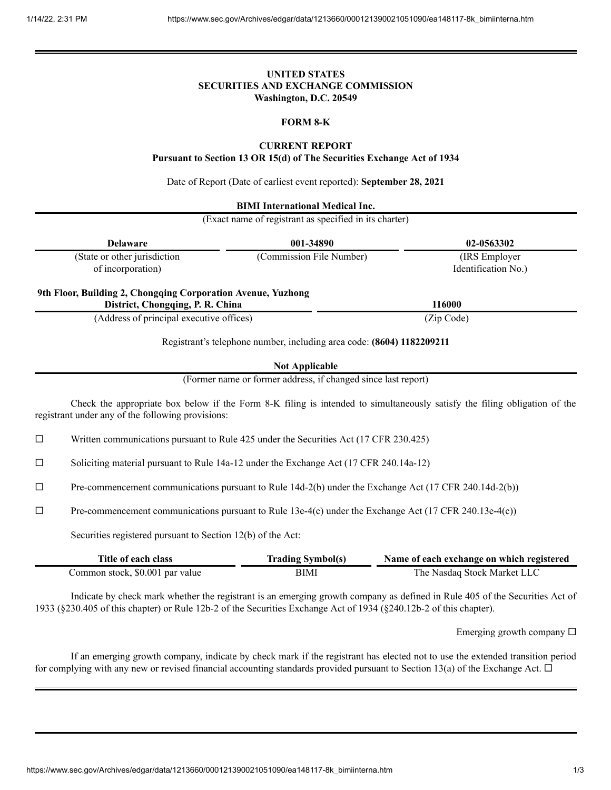# **UNITED STATES SECURITIES AND EXCHANGE COMMISSION Washington, D.C. 20549**

### **FORM 8-K**

### **CURRENT REPORT**

**Pursuant to Section 13 OR 15(d) of The Securities Exchange Act of 1934**

Date of Report (Date of earliest event reported): **September 28, 2021**

| <b>BIMI</b> International Medical Inc.<br>(Exact name of registrant as specified in its charter) |                          |                                       |  |
|--------------------------------------------------------------------------------------------------|--------------------------|---------------------------------------|--|
| <b>Delaware</b>                                                                                  | 001-34890                | 02-0563302                            |  |
| (State or other jurisdiction<br>of incorporation)                                                | (Commission File Number) | (IRS Employer)<br>Identification No.) |  |
| 9th Floor, Building 2, Chongqing Corporation Avenue, Yuzhong                                     |                          |                                       |  |
| District, Chongqing, P. R. China                                                                 |                          | 116000                                |  |
| (Address of principal executive offices)                                                         |                          | (Zip Code)                            |  |

**Not Applicable**

(Former name or former address, if changed since last report)

Check the appropriate box below if the Form 8-K filing is intended to simultaneously satisfy the filing obligation of the registrant under any of the following provisions:

 $\Box$  Written communications pursuant to Rule 425 under the Securities Act (17 CFR 230.425)

 $\Box$  Soliciting material pursuant to Rule 14a-12 under the Exchange Act (17 CFR 240.14a-12)

 $\Box$  Pre-commencement communications pursuant to Rule 14d-2(b) under the Exchange Act (17 CFR 240.14d-2(b))

 $\Box$  Pre-commencement communications pursuant to Rule 13e-4(c) under the Exchange Act (17 CFR 240.13e-4(c))

Securities registered pursuant to Section 12(b) of the Act:

| Title of each class             | <b>Trading Symbol(s)</b> | Name of each exchange on which registered |
|---------------------------------|--------------------------|-------------------------------------------|
| Common stock, \$0.001 par value | BIMI                     | The Nasdag Stock Market LLC               |

Indicate by check mark whether the registrant is an emerging growth company as defined in Rule 405 of the Securities Act of 1933 (§230.405 of this chapter) or Rule 12b-2 of the Securities Exchange Act of 1934 (§240.12b-2 of this chapter).

Emerging growth company  $\Box$ 

If an emerging growth company, indicate by check mark if the registrant has elected not to use the extended transition period for complying with any new or revised financial accounting standards provided pursuant to Section 13(a) of the Exchange Act.  $\Box$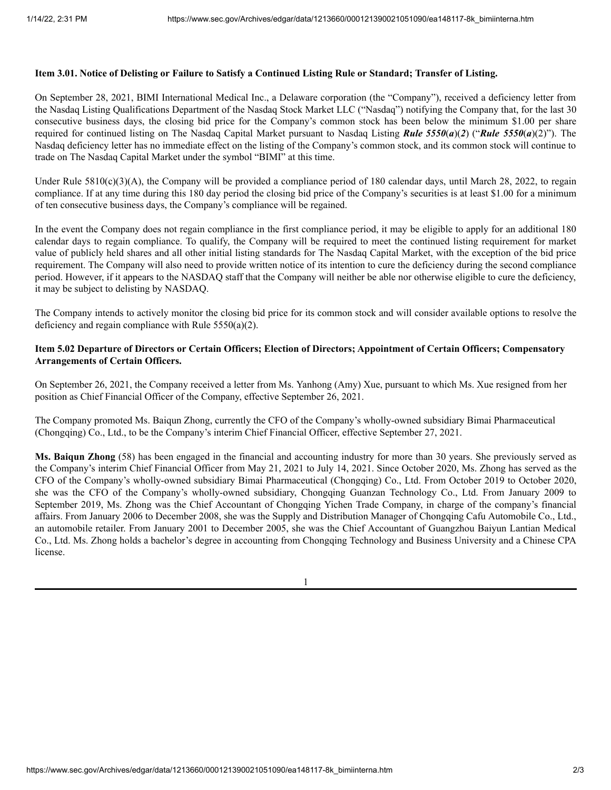#### Item 3.01. Notice of Delisting or Failure to Satisfy a Continued Listing Rule or Standard; Transfer of Listing.

On September 28, 2021, BIMI International Medical Inc., a Delaware corporation (the "Company"), received a deficiency letter from the Nasdaq Listing Qualifications Department of the Nasdaq Stock Market LLC ("Nasdaq") notifying the Company that, for the last 30 consecutive business days, the closing bid price for the Company's common stock has been below the minimum \$1.00 per share required for continued listing on The Nasdaq Capital Market pursuant to Nasdaq Listing *Rule 5550*(*a*)(*2*) ("*Rule 5550*(*a*)(2)"). The Nasdaq deficiency letter has no immediate effect on the listing of the Company's common stock, and its common stock will continue to trade on The Nasdaq Capital Market under the symbol "BIMI" at this time.

Under Rule  $5810(c)(3)(A)$ , the Company will be provided a compliance period of 180 calendar days, until March 28, 2022, to regain compliance. If at any time during this 180 day period the closing bid price of the Company's securities is at least \$1.00 for a minimum of ten consecutive business days, the Company's compliance will be regained.

In the event the Company does not regain compliance in the first compliance period, it may be eligible to apply for an additional 180 calendar days to regain compliance. To qualify, the Company will be required to meet the continued listing requirement for market value of publicly held shares and all other initial listing standards for The Nasdaq Capital Market, with the exception of the bid price requirement. The Company will also need to provide written notice of its intention to cure the deficiency during the second compliance period. However, if it appears to the NASDAQ staff that the Company will neither be able nor otherwise eligible to cure the deficiency, it may be subject to delisting by NASDAQ.

The Company intends to actively monitor the closing bid price for its common stock and will consider available options to resolve the deficiency and regain compliance with Rule 5550(a)(2).

### Item 5.02 Departure of Directors or Certain Officers; Election of Directors; Appointment of Certain Officers; Compensatory **Arrangements of Certain Officers.**

On September 26, 2021, the Company received a letter from Ms. Yanhong (Amy) Xue, pursuant to which Ms. Xue resigned from her position as Chief Financial Officer of the Company, effective September 26, 2021.

The Company promoted Ms. Baiqun Zhong, currently the CFO of the Company's wholly-owned subsidiary Bimai Pharmaceutical (Chongqing) Co., Ltd., to be the Company's interim Chief Financial Officer, effective September 27, 2021.

**Ms. Baiqun Zhong** (58) has been engaged in the financial and accounting industry for more than 30 years. She previously served as the Company's interim Chief Financial Officer from May 21, 2021 to July 14, 2021. Since October 2020, Ms. Zhong has served as the CFO of the Company's wholly-owned subsidiary Bimai Pharmaceutical (Chongqing) Co., Ltd. From October 2019 to October 2020, she was the CFO of the Company's wholly-owned subsidiary, Chongqing Guanzan Technology Co., Ltd. From January 2009 to September 2019, Ms. Zhong was the Chief Accountant of Chongqing Yichen Trade Company, in charge of the company's financial affairs. From January 2006 to December 2008, she was the Supply and Distribution Manager of Chongqing Cafu Automobile Co., Ltd., an automobile retailer. From January 2001 to December 2005, she was the Chief Accountant of Guangzhou Baiyun Lantian Medical Co., Ltd. Ms. Zhong holds a bachelor's degree in accounting from Chongqing Technology and Business University and a Chinese CPA license.

1